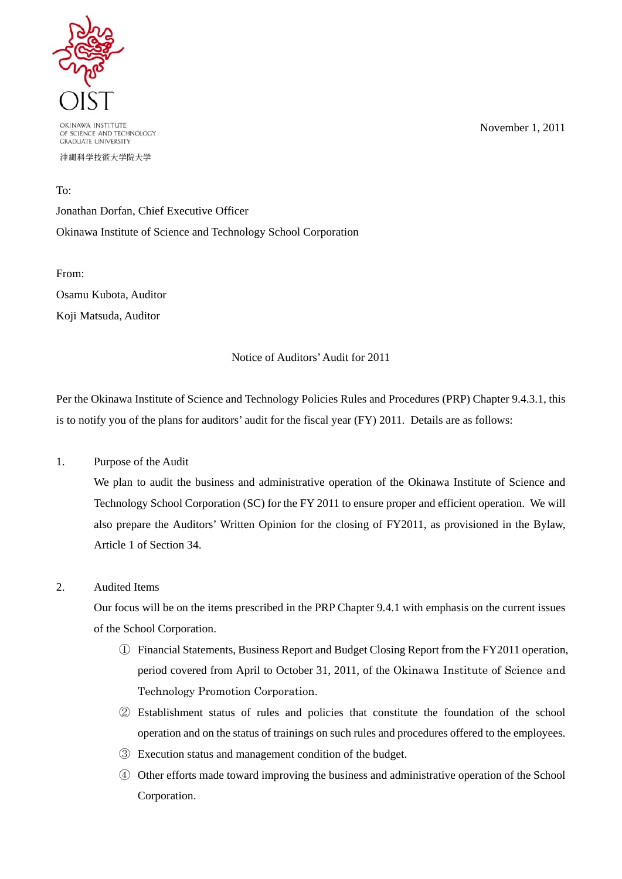

OKINAWA INSTITUTE OF SCIENCE AND TECHNOLOGY **GRADUATE UNIVERSITY** 

沖縄科学技術大学院大学

November 1, 2011

To:

Jonathan Dorfan, Chief Executive Officer Okinawa Institute of Science and Technology School Corporation

From: Osamu Kubota, Auditor Koji Matsuda, Auditor

## Notice of Auditors' Audit for 2011

Per the Okinawa Institute of Science and Technology Policies Rules and Procedures (PRP) Chapter 9.4.3.1, this is to notify you of the plans for auditors' audit for the fiscal year (FY) 2011. Details are as follows:

1. Purpose of the Audit

We plan to audit the business and administrative operation of the Okinawa Institute of Science and Technology School Corporation (SC) for the FY 2011 to ensure proper and efficient operation. We will also prepare the Auditors' Written Opinion for the closing of FY2011, as provisioned in the Bylaw, Article 1 of Section 34.

## 2. Audited Items

Our focus will be on the items prescribed in the PRP Chapter 9.4.1 with emphasis on the current issues of the School Corporation.

- ① Financial Statements, Business Report and Budget Closing Report from the FY2011 operation, period covered from April to October 31, 2011, of the Okinawa Institute of Science and Technology Promotion Corporation.
- ② Establishment status of rules and policies that constitute the foundation of the school operation and on the status of trainings on such rules and procedures offered to the employees.
- ③ Execution status and management condition of the budget.
- ④ Other efforts made toward improving the business and administrative operation of the School Corporation.